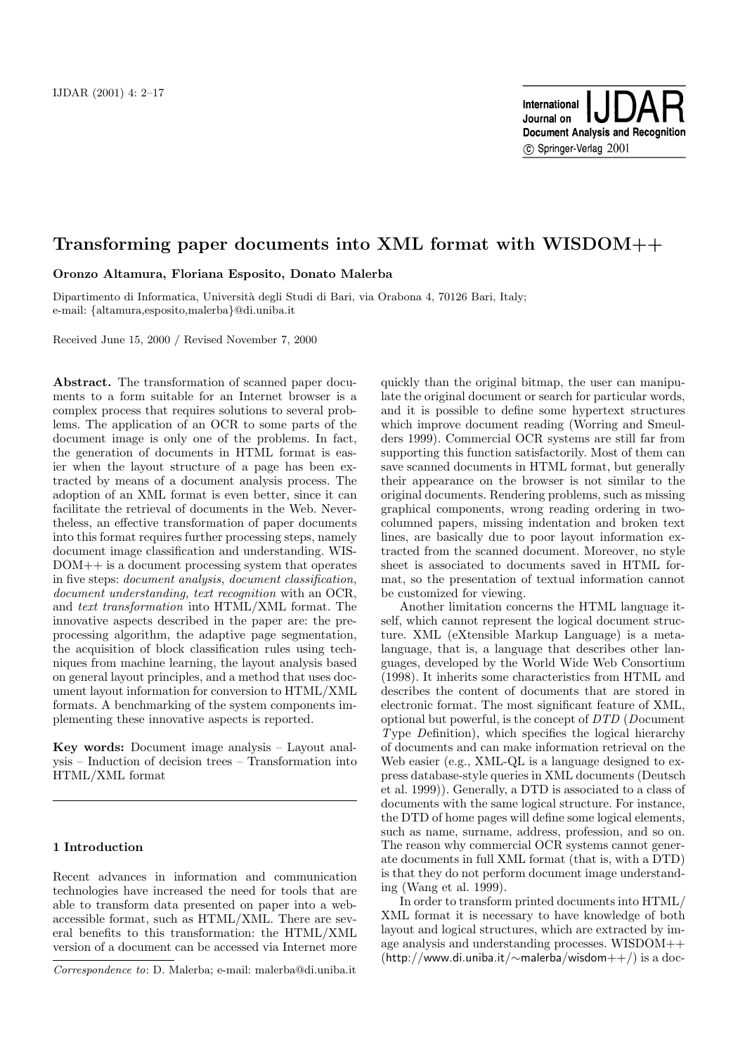# **Transforming paper documents into XML format with WISDOM++**

**Oronzo Altamura, Floriana Esposito, Donato Malerba**

Dipartimento di Informatica, Università degli Studi di Bari, via Orabona 4, 70126 Bari, Italy; e-mail: {altamura,esposito,malerba}@di.uniba.it

Received June 15, 2000 / Revised November 7, 2000

**Abstract.** The transformation of scanned paper documents to a form suitable for an Internet browser is a complex process that requires solutions to several problems. The application of an OCR to some parts of the document image is only one of the problems. In fact, the generation of documents in HTML format is easier when the layout structure of a page has been extracted by means of a document analysis process. The adoption of an XML format is even better, since it can facilitate the retrieval of documents in the Web. Nevertheless, an effective transformation of paper documents into this format requires further processing steps, namely document image classification and understanding. WIS-DOM++ is a document processing system that operates in five steps: document analysis, document classification, document understanding, text recognition with an OCR, and text transformation into HTML/XML format. The innovative aspects described in the paper are: the preprocessing algorithm, the adaptive page segmentation, the acquisition of block classification rules using techniques from machine learning, the layout analysis based on general layout principles, and a method that uses document layout information for conversion to HTML/XML formats. A benchmarking of the system components implementing these innovative aspects is reported.

**Key words:** Document image analysis – Layout analysis – Induction of decision trees – Transformation into HTML/XML format

# **1 Introduction**

Recent advances in information and communication technologies have increased the need for tools that are able to transform data presented on paper into a webaccessible format, such as HTML/XML. There are several benefits to this transformation: the HTML/XML version of a document can be accessed via Internet more quickly than the original bitmap, the user can manipulate the original document or search for particular words, and it is possible to define some hypertext structures which improve document reading (Worring and Smeulders 1999). Commercial OCR systems are still far from supporting this function satisfactorily. Most of them can save scanned documents in HTML format, but generally their appearance on the browser is not similar to the original documents. Rendering problems, such as missing graphical components, wrong reading ordering in twocolumned papers, missing indentation and broken text lines, are basically due to poor layout information extracted from the scanned document. Moreover, no style sheet is associated to documents saved in HTML format, so the presentation of textual information cannot be customized for viewing.

Another limitation concerns the HTML language itself, which cannot represent the logical document structure. XML (eXtensible Markup Language) is a metalanguage, that is, a language that describes other languages, developed by the World Wide Web Consortium (1998). It inherits some characteristics from HTML and describes the content of documents that are stored in electronic format. The most significant feature of XML, optional but powerful, is the concept of DTD (Document Type Definition), which specifies the logical hierarchy of documents and can make information retrieval on the Web easier (e.g., XML-QL is a language designed to express database-style queries in XML documents (Deutsch et al. 1999)). Generally, a DTD is associated to a class of documents with the same logical structure. For instance, the DTD of home pages will define some logical elements, such as name, surname, address, profession, and so on. The reason why commercial OCR systems cannot generate documents in full XML format (that is, with a DTD) is that they do not perform document image understanding (Wang et al. 1999).

In order to transform printed documents into HTML/ XML format it is necessary to have knowledge of both layout and logical structures, which are extracted by image analysis and understanding processes. WISDOM++ (http://www.di.uniba.it/∼malerba/wisdom++/) is a doc-

Correspondence to: D. Malerba; e-mail: malerba@di.uniba.it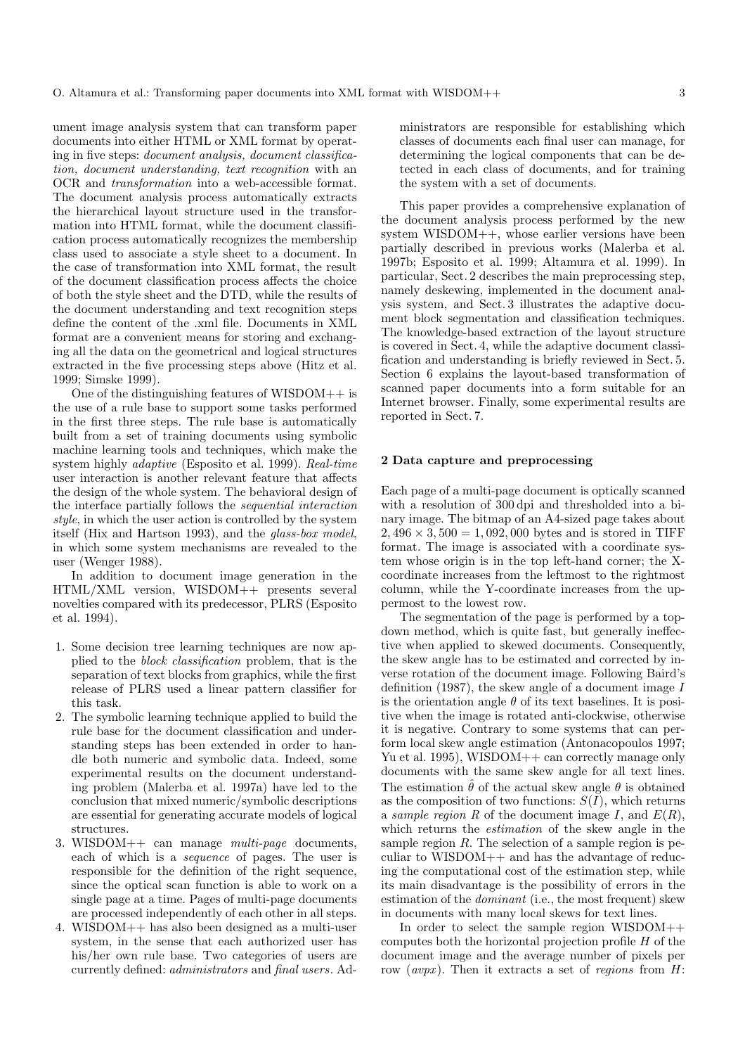ument image analysis system that can transform paper documents into either HTML or XML format by operating in five steps: document analysis, document classification, document understanding, text recognition with an OCR and transformation into a web-accessible format. The document analysis process automatically extracts the hierarchical layout structure used in the transformation into HTML format, while the document classification process automatically recognizes the membership class used to associate a style sheet to a document. In the case of transformation into XML format, the result of the document classification process affects the choice of both the style sheet and the DTD, while the results of the document understanding and text recognition steps define the content of the .xml file. Documents in XML format are a convenient means for storing and exchanging all the data on the geometrical and logical structures extracted in the five processing steps above (Hitz et al. 1999; Simske 1999).

One of the distinguishing features of  $WISDOM++$  is the use of a rule base to support some tasks performed in the first three steps. The rule base is automatically built from a set of training documents using symbolic machine learning tools and techniques, which make the system highly adaptive (Esposito et al. 1999). Real-time user interaction is another relevant feature that affects the design of the whole system. The behavioral design of the interface partially follows the sequential interaction style, in which the user action is controlled by the system itself (Hix and Hartson 1993), and the glass-box model, in which some system mechanisms are revealed to the user (Wenger 1988).

In addition to document image generation in the HTML/XML version, WISDOM++ presents several novelties compared with its predecessor, PLRS (Esposito et al. 1994).

- 1. Some decision tree learning techniques are now applied to the block classification problem, that is the separation of text blocks from graphics, while the first release of PLRS used a linear pattern classifier for this task.
- 2. The symbolic learning technique applied to build the rule base for the document classification and understanding steps has been extended in order to handle both numeric and symbolic data. Indeed, some experimental results on the document understanding problem (Malerba et al. 1997a) have led to the conclusion that mixed numeric/symbolic descriptions are essential for generating accurate models of logical structures.
- 3. WISDOM++ can manage multi-page documents, each of which is a sequence of pages. The user is responsible for the definition of the right sequence, since the optical scan function is able to work on a single page at a time. Pages of multi-page documents are processed independently of each other in all steps.
- 4. WISDOM++ has also been designed as a multi-user system, in the sense that each authorized user has his/her own rule base. Two categories of users are currently defined: administrators and final users. Ad-

ministrators are responsible for establishing which classes of documents each final user can manage, for determining the logical components that can be detected in each class of documents, and for training the system with a set of documents.

This paper provides a comprehensive explanation of the document analysis process performed by the new system WISDOM++, whose earlier versions have been partially described in previous works (Malerba et al. 1997b; Esposito et al. 1999; Altamura et al. 1999). In particular, Sect. 2 describes the main preprocessing step, namely deskewing, implemented in the document analysis system, and Sect. 3 illustrates the adaptive document block segmentation and classification techniques. The knowledge-based extraction of the layout structure is covered in Sect. 4, while the adaptive document classification and understanding is briefly reviewed in Sect. 5. Section 6 explains the layout-based transformation of scanned paper documents into a form suitable for an Internet browser. Finally, some experimental results are reported in Sect. 7.

## **2 Data capture and preprocessing**

Each page of a multi-page document is optically scanned with a resolution of 300 dpi and thresholded into a binary image. The bitmap of an A4-sized page takes about  $2,496 \times 3,500 = 1,092,000$  bytes and is stored in TIFF format. The image is associated with a coordinate system whose origin is in the top left-hand corner; the Xcoordinate increases from the leftmost to the rightmost column, while the Y-coordinate increases from the uppermost to the lowest row.

The segmentation of the page is performed by a topdown method, which is quite fast, but generally ineffective when applied to skewed documents. Consequently, the skew angle has to be estimated and corrected by inverse rotation of the document image. Following Baird's definition (1987), the skew angle of a document image  $I$ is the orientation angle  $\theta$  of its text baselines. It is positive when the image is rotated anti-clockwise, otherwise it is negative. Contrary to some systems that can perform local skew angle estimation (Antonacopoulos 1997; Yu et al. 1995), WISDOM++ can correctly manage only documents with the same skew angle for all text lines. The estimation  $\hat{\theta}$  of the actual skew angle  $\theta$  is obtained as the composition of two functions:  $S(I)$ , which returns a sample region R of the document image I, and  $E(R)$ , which returns the estimation of the skew angle in the sample region  $R$ . The selection of a sample region is peculiar to WISDOM++ and has the advantage of reducing the computational cost of the estimation step, while its main disadvantage is the possibility of errors in the estimation of the dominant (i.e., the most frequent) skew in documents with many local skews for text lines.

In order to select the sample region  $WISDOM++$ computes both the horizontal projection profile  $H$  of the document image and the average number of pixels per row  $(avpx)$ . Then it extracts a set of *regions* from  $H$ :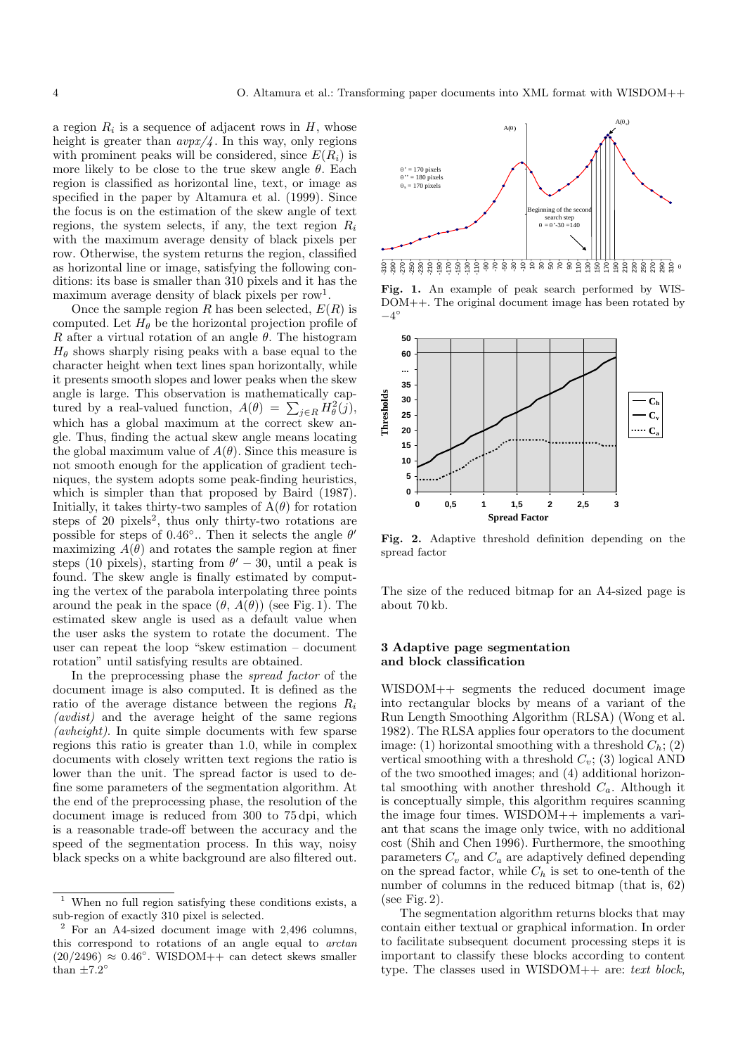a region  $R_i$  is a sequence of adjacent rows in  $H$ , whose height is greater than  $\frac{a v p x}{4}$ . In this way, only regions with prominent peaks will be considered, since  $E(R_i)$  is more likely to be close to the true skew angle  $\theta$ . Each region is classified as horizontal line, text, or image as specified in the paper by Altamura et al. (1999). Since the focus is on the estimation of the skew angle of text regions, the system selects, if any, the text region  $R_i$ with the maximum average density of black pixels per row. Otherwise, the system returns the region, classified as horizontal line or image, satisfying the following conditions: its base is smaller than 310 pixels and it has the maximum average density of black pixels per row<sup>1</sup>.

Once the sample region R has been selected,  $E(R)$  is computed. Let  $H_{\theta}$  be the horizontal projection profile of R after a virtual rotation of an angle  $\theta$ . The histogram  $H_{\theta}$  shows sharply rising peaks with a base equal to the character height when text lines span horizontally, while it presents smooth slopes and lower peaks when the skew angle is large. This observation is mathematically captured by a real-valued function,  $A(\theta) = \sum_{j \in R} H_{\theta}^{2}(j),$ which has a global maximum at the correct skew angle. Thus, finding the actual skew angle means locating the global maximum value of  $A(\theta)$ . Since this measure is not smooth enough for the application of gradient techniques, the system adopts some peak-finding heuristics, which is simpler than that proposed by Baird (1987). Initially, it takes thirty-two samples of  $A(\theta)$  for rotation steps of 20 pixels<sup>2</sup>, thus only thirty-two rotations are possible for steps of 0.46 $\degree$ .. Then it selects the angle  $\theta'$ maximizing  $A(\theta)$  and rotates the sample region at finer steps (10 pixels), starting from  $\theta' - 30$ , until a peak is found. The skew angle is finally estimated by computing the vertex of the parabola interpolating three points around the peak in the space  $(\theta, A(\theta))$  (see Fig. 1). The estimated skew angle is used as a default value when the user asks the system to rotate the document. The user can repeat the loop "skew estimation – document rotation" until satisfying results are obtained.

In the preprocessing phase the spread factor of the document image is also computed. It is defined as the ratio of the average distance between the regions  $R_i$ (avdist) and the average height of the same regions (avheight). In quite simple documents with few sparse regions this ratio is greater than 1.0, while in complex documents with closely written text regions the ratio is lower than the unit. The spread factor is used to define some parameters of the segmentation algorithm. At the end of the preprocessing phase, the resolution of the document image is reduced from 300 to 75 dpi, which is a reasonable trade-off between the accuracy and the speed of the segmentation process. In this way, noisy black specks on a white background are also filtered out.



**Fig. 1.** An example of peak search performed by WIS-DOM++. The original document image has been rotated by  $-4^\circ$ 



Fig. 2. Adaptive threshold definition depending on the spread factor

The size of the reduced bitmap for an A4-sized page is about 70 kb.

# **3 Adaptive page segmentation and block classification**

WISDOM++ segments the reduced document image into rectangular blocks by means of a variant of the Run Length Smoothing Algorithm (RLSA) (Wong et al. 1982). The RLSA applies four operators to the document image: (1) horizontal smoothing with a threshold  $C_h$ ; (2) vertical smoothing with a threshold  $C_v$ ; (3) logical AND of the two smoothed images; and (4) additional horizontal smoothing with another threshold  $C_a$ . Although it is conceptually simple, this algorithm requires scanning the image four times. WISDOM++ implements a variant that scans the image only twice, with no additional cost (Shih and Chen 1996). Furthermore, the smoothing parameters  $C_v$  and  $C_a$  are adaptively defined depending on the spread factor, while  $C_h$  is set to one-tenth of the number of columns in the reduced bitmap (that is, 62) (see Fig. 2).

The segmentation algorithm returns blocks that may contain either textual or graphical information. In order to facilitate subsequent document processing steps it is important to classify these blocks according to content type. The classes used in WISDOM++ are: text block,

When no full region satisfying these conditions exists, a sub-region of exactly 310 pixel is selected.

<sup>2</sup> For an A4-sized document image with 2,496 columns, this correspond to rotations of an angle equal to arctan  $(20/2496) \approx 0.46^{\circ}$ . WISDOM++ can detect skews smaller than  $\pm 7.2^\circ$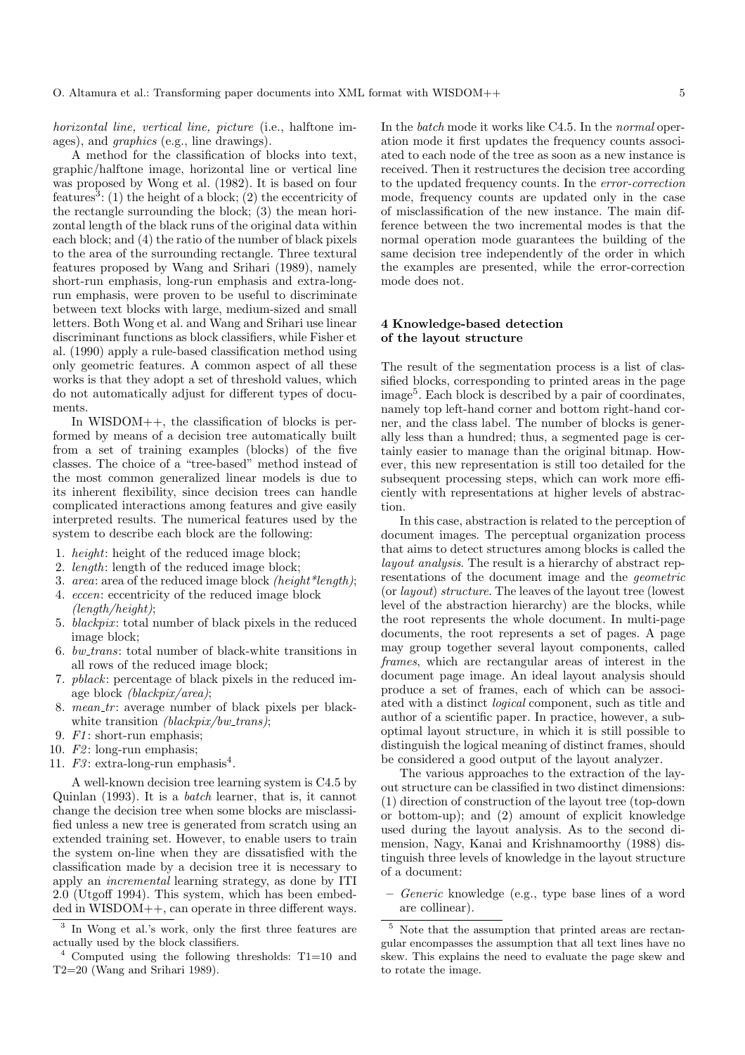horizontal line, vertical line, picture (i.e., halftone images), and graphics (e.g., line drawings).

A method for the classification of blocks into text, graphic/halftone image, horizontal line or vertical line was proposed by Wong et al. (1982). It is based on four features<sup>3</sup>: (1) the height of a block; (2) the eccentricity of the rectangle surrounding the block; (3) the mean horizontal length of the black runs of the original data within each block; and (4) the ratio of the number of black pixels to the area of the surrounding rectangle. Three textural features proposed by Wang and Srihari (1989), namely short-run emphasis, long-run emphasis and extra-longrun emphasis, were proven to be useful to discriminate between text blocks with large, medium-sized and small letters. Both Wong et al. and Wang and Srihari use linear discriminant functions as block classifiers, while Fisher et al. (1990) apply a rule-based classification method using only geometric features. A common aspect of all these works is that they adopt a set of threshold values, which do not automatically adjust for different types of documents.

In WISDOM++, the classification of blocks is performed by means of a decision tree automatically built from a set of training examples (blocks) of the five classes. The choice of a "tree-based" method instead of the most common generalized linear models is due to its inherent flexibility, since decision trees can handle complicated interactions among features and give easily interpreted results. The numerical features used by the system to describe each block are the following:

- 1. height: height of the reduced image block;
- 2. length: length of the reduced image block;
- 3. area: area of the reduced image block (height\*length);
- 4. eccen: eccentricity of the reduced image block (length/height);
- 5. blackpix: total number of black pixels in the reduced image block;
- 6. bw\_trans: total number of black-white transitions in all rows of the reduced image block;
- 7. pblack: percentage of black pixels in the reduced image block (blackpix/area);
- 8. mean\_tr: average number of black pixels per blackwhite transition *(blackpix/bw\_trans)*;
- 9. F1: short-run emphasis;
- 10.  $F2$ : long-run emphasis;
- 11.  $F3$ : extra-long-run emphasis<sup>4</sup>.

A well-known decision tree learning system is C4.5 by Quinlan (1993). It is a batch learner, that is, it cannot change the decision tree when some blocks are misclassified unless a new tree is generated from scratch using an extended training set. However, to enable users to train the system on-line when they are dissatisfied with the classification made by a decision tree it is necessary to apply an incremental learning strategy, as done by ITI 2.0 (Utgoff 1994). This system, which has been embedded in WISDOM++, can operate in three different ways. In the batch mode it works like C4.5. In the normal operation mode it first updates the frequency counts associated to each node of the tree as soon as a new instance is received. Then it restructures the decision tree according to the updated frequency counts. In the error-correction mode, frequency counts are updated only in the case of misclassification of the new instance. The main difference between the two incremental modes is that the normal operation mode guarantees the building of the same decision tree independently of the order in which the examples are presented, while the error-correction mode does not.

# **4 Knowledge-based detection of the layout structure**

The result of the segmentation process is a list of classified blocks, corresponding to printed areas in the page image<sup>5</sup>. Each block is described by a pair of coordinates, namely top left-hand corner and bottom right-hand corner, and the class label. The number of blocks is generally less than a hundred; thus, a segmented page is certainly easier to manage than the original bitmap. However, this new representation is still too detailed for the subsequent processing steps, which can work more efficiently with representations at higher levels of abstraction.

In this case, abstraction is related to the perception of document images. The perceptual organization process that aims to detect structures among blocks is called the layout analysis. The result is a hierarchy of abstract representations of the document image and the geometric (or layout) structure. The leaves of the layout tree (lowest level of the abstraction hierarchy) are the blocks, while the root represents the whole document. In multi-page documents, the root represents a set of pages. A page may group together several layout components, called frames, which are rectangular areas of interest in the document page image. An ideal layout analysis should produce a set of frames, each of which can be associated with a distinct logical component, such as title and author of a scientific paper. In practice, however, a suboptimal layout structure, in which it is still possible to distinguish the logical meaning of distinct frames, should be considered a good output of the layout analyzer.

The various approaches to the extraction of the layout structure can be classified in two distinct dimensions: (1) direction of construction of the layout tree (top-down or bottom-up); and (2) amount of explicit knowledge used during the layout analysis. As to the second dimension, Nagy, Kanai and Krishnamoorthy (1988) distinguish three levels of knowledge in the layout structure of a document:

**–** Generic knowledge (e.g., type base lines of a word are collinear).

In Wong et al.'s work, only the first three features are actually used by the block classifiers.

 $4$  Computed using the following thresholds: T1=10 and  $T2=20$  (Wang and Srihari 1989).

Note that the assumption that printed areas are rectangular encompasses the assumption that all text lines have no skew. This explains the need to evaluate the page skew and to rotate the image.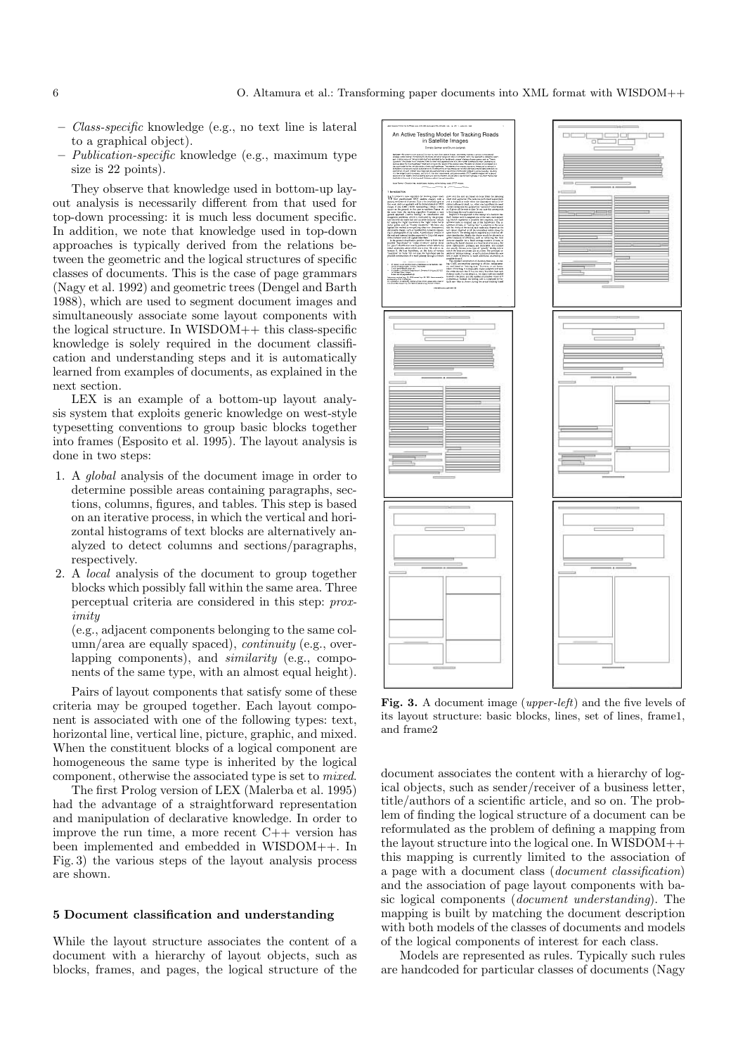- **–** Class-specific knowledge (e.g., no text line is lateral to a graphical object).
- **–** Publication-specific knowledge (e.g., maximum type size is 22 points).

They observe that knowledge used in bottom-up layout analysis is necessarily different from that used for top-down processing: it is much less document specific. In addition, we note that knowledge used in top-down approaches is typically derived from the relations between the geometric and the logical structures of specific classes of documents. This is the case of page grammars (Nagy et al. 1992) and geometric trees (Dengel and Barth 1988), which are used to segment document images and simultaneously associate some layout components with the logical structure. In WISDOM++ this class-specific knowledge is solely required in the document classification and understanding steps and it is automatically learned from examples of documents, as explained in the next section.

LEX is an example of a bottom-up layout analysis system that exploits generic knowledge on west-style typesetting conventions to group basic blocks together into frames (Esposito et al. 1995). The layout analysis is done in two steps:

- 1. A global analysis of the document image in order to determine possible areas containing paragraphs, sections, columns, figures, and tables. This step is based on an iterative process, in which the vertical and horizontal histograms of text blocks are alternatively analyzed to detect columns and sections/paragraphs, respectively.
- 2. A local analysis of the document to group together blocks which possibly fall within the same area. Three perceptual criteria are considered in this step: proximity

(e.g., adjacent components belonging to the same column/area are equally spaced), continuity (e.g., overlapping components), and similarity (e.g., components of the same type, with an almost equal height).

Pairs of layout components that satisfy some of these criteria may be grouped together. Each layout component is associated with one of the following types: text, horizontal line, vertical line, picture, graphic, and mixed. When the constituent blocks of a logical component are homogeneous the same type is inherited by the logical component, otherwise the associated type is set to mixed.

The first Prolog version of LEX (Malerba et al. 1995) had the advantage of a straightforward representation and manipulation of declarative knowledge. In order to improve the run time, a more recent  $C++$  version has been implemented and embedded in WISDOM++. In Fig. 3) the various steps of the layout analysis process are shown.

# **5 Document classification and understanding**

While the layout structure associates the content of a document with a hierarchy of layout objects, such as blocks, frames, and pages, the logical structure of the



**Fig. 3.** A document image (upper-left) and the five levels of its layout structure: basic blocks, lines, set of lines, frame1, and frame2

document associates the content with a hierarchy of logical objects, such as sender/receiver of a business letter, title/authors of a scientific article, and so on. The problem of finding the logical structure of a document can be reformulated as the problem of defining a mapping from the layout structure into the logical one. In  $WISDOM++$ this mapping is currently limited to the association of a page with a document class (document classification) and the association of page layout components with basic logical components (document understanding). The mapping is built by matching the document description with both models of the classes of documents and models of the logical components of interest for each class.

Models are represented as rules. Typically such rules are handcoded for particular classes of documents (Nagy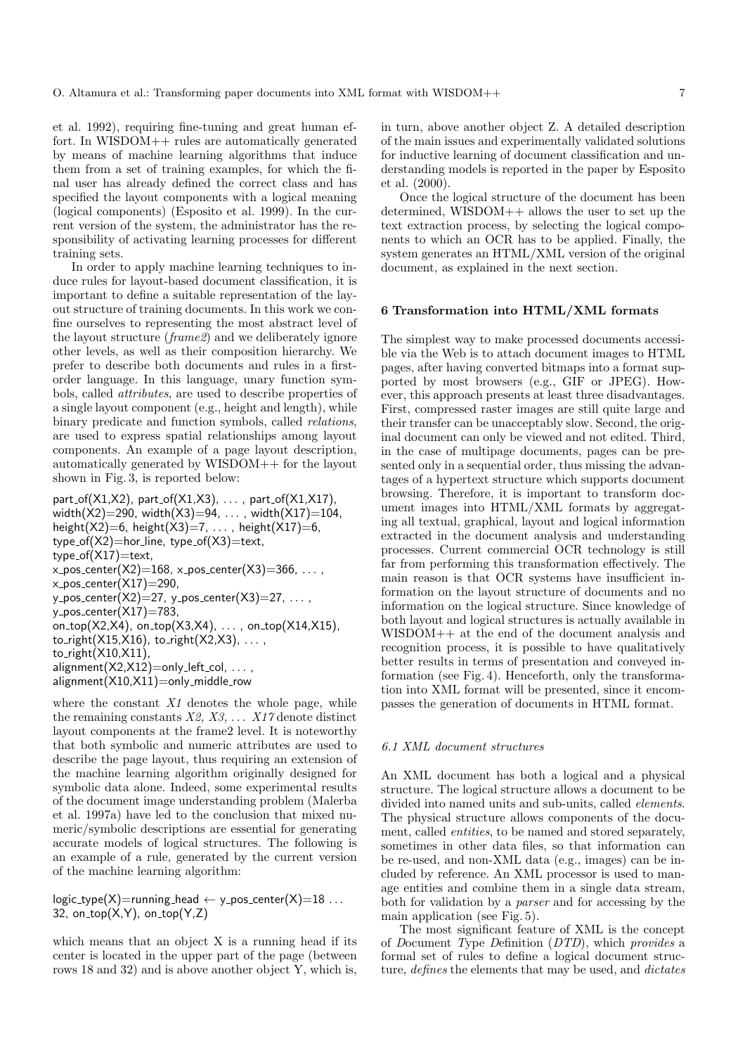et al. 1992), requiring fine-tuning and great human effort. In WISDOM++ rules are automatically generated by means of machine learning algorithms that induce them from a set of training examples, for which the final user has already defined the correct class and has specified the layout components with a logical meaning (logical components) (Esposito et al. 1999). In the current version of the system, the administrator has the responsibility of activating learning processes for different training sets.

In order to apply machine learning techniques to induce rules for layout-based document classification, it is important to define a suitable representation of the layout structure of training documents. In this work we confine ourselves to representing the most abstract level of the layout structure (frame2) and we deliberately ignore other levels, as well as their composition hierarchy. We prefer to describe both documents and rules in a firstorder language. In this language, unary function symbols, called attributes, are used to describe properties of a single layout component (e.g., height and length), while binary predicate and function symbols, called relations, are used to express spatial relationships among layout components. An example of a page layout description, automatically generated by WISDOM++ for the layout shown in Fig. 3, is reported below:

part\_of( $X1,X2$ ), part\_of( $X1,X3$ ), ..., part\_of( $X1,X17$ ), width $(X2)$ =290, width $(X3)$ =94, ..., width $(X17)$ =104, height(X2)=6, height(X3)=7, ..., height(X17)=6, type\_of( $X2$ )=hor\_line, type\_of( $X3$ )=text,  $type_of(X17)=text$  $x_{\text{-}pos{\text{-}}center(X2)=168, x_{\text{-}pos{\text{-}}center(X3)=366, \ldots, x_{\text{-}obs}}$  $x_{\text{-}pos_{\text{-}}center(X17)=290$ , y\_pos\_center(X2)=27, y\_pos\_center(X3)=27,  $\dots$ ,  $y_{\text{-}pos{\text{-}}center(X17)=783,$ on\_top( $X2, X4$ ), on\_top( $X3, X4$ ), ..., on\_top( $X14, X15$ ), to\_right( $X15, X16$ ), to\_right( $X2, X3$ ), ..., to\_right $(X10, X11)$ , alignment $(X2,X12)$ =only left col, ..., alignment $(X10,X11)$ =only\_middle\_row

where the constant  $X1$  denotes the whole page, while the remaining constants  $X2, X3, \ldots X17$  denote distinct layout components at the frame2 level. It is noteworthy that both symbolic and numeric attributes are used to describe the page layout, thus requiring an extension of the machine learning algorithm originally designed for symbolic data alone. Indeed, some experimental results of the document image understanding problem (Malerba et al. 1997a) have led to the conclusion that mixed numeric/symbolic descriptions are essential for generating accurate models of logical structures. The following is an example of a rule, generated by the current version of the machine learning algorithm:

logic\_type(X)=running\_head  $\leftarrow$  y\_pos\_center(X)=18 ... 32, on\_top $(X, Y)$ , on\_top $(Y, Z)$ 

which means that an object X is a running head if its center is located in the upper part of the page (between rows 18 and 32) and is above another object Y, which is, in turn, above another object Z. A detailed description of the main issues and experimentally validated solutions for inductive learning of document classification and understanding models is reported in the paper by Esposito et al. (2000).

Once the logical structure of the document has been determined, WISDOM++ allows the user to set up the text extraction process, by selecting the logical components to which an OCR has to be applied. Finally, the system generates an HTML/XML version of the original document, as explained in the next section.

# **6 Transformation into HTML/XML formats**

The simplest way to make processed documents accessible via the Web is to attach document images to HTML pages, after having converted bitmaps into a format supported by most browsers (e.g., GIF or JPEG). However, this approach presents at least three disadvantages. First, compressed raster images are still quite large and their transfer can be unacceptably slow. Second, the original document can only be viewed and not edited. Third, in the case of multipage documents, pages can be presented only in a sequential order, thus missing the advantages of a hypertext structure which supports document browsing. Therefore, it is important to transform document images into HTML/XML formats by aggregating all textual, graphical, layout and logical information extracted in the document analysis and understanding processes. Current commercial OCR technology is still far from performing this transformation effectively. The main reason is that OCR systems have insufficient information on the layout structure of documents and no information on the logical structure. Since knowledge of both layout and logical structures is actually available in WISDOM++ at the end of the document analysis and recognition process, it is possible to have qualitatively better results in terms of presentation and conveyed information (see Fig. 4). Henceforth, only the transformation into XML format will be presented, since it encompasses the generation of documents in HTML format.

## 6.1 XML document structures

An XML document has both a logical and a physical structure. The logical structure allows a document to be divided into named units and sub-units, called elements. The physical structure allows components of the document, called *entities*, to be named and stored separately, sometimes in other data files, so that information can be re-used, and non-XML data (e.g., images) can be included by reference. An XML processor is used to manage entities and combine them in a single data stream, both for validation by a parser and for accessing by the main application (see Fig. 5).

The most significant feature of XML is the concept of Document Type Definition (DTD), which provides a formal set of rules to define a logical document structure, defines the elements that may be used, and dictates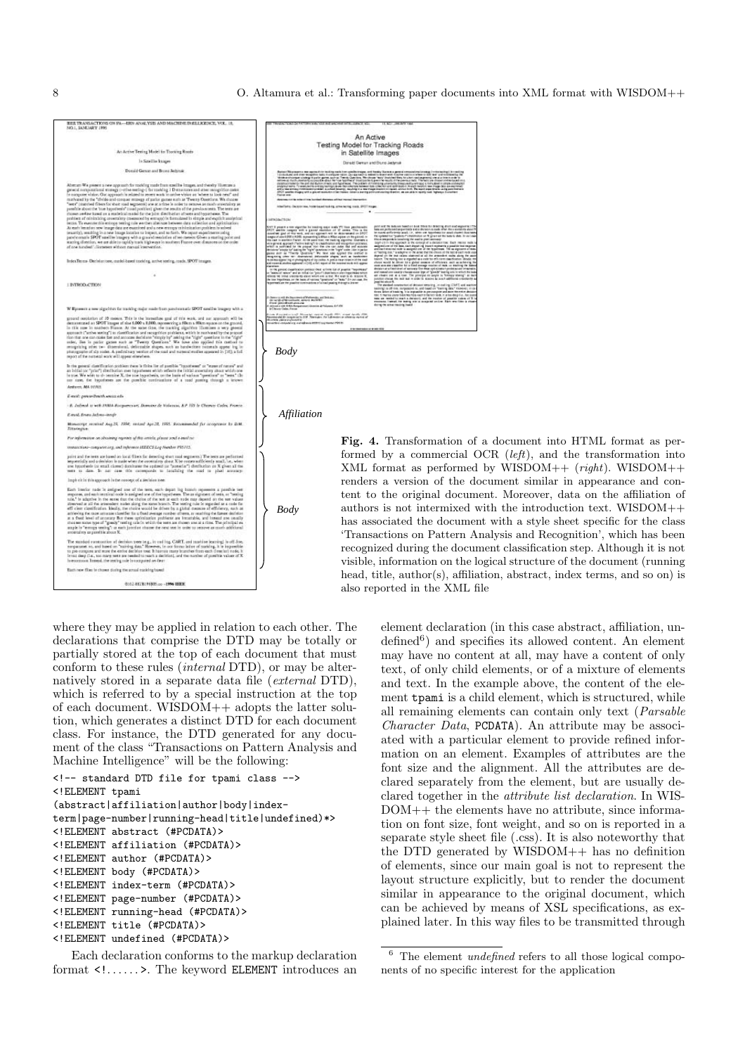

8 0. Altamura et al.: Transforming paper documents into XML format with WISDOM++



formed by a commercial OCR  $(left)$ , and the transformation into XML format as performed by WISDOM++  $(right)$ . WISDOM++ renders a version of the document similar in appearance and content to the original document. Moreover, data on the affiliation of authors is not intermixed with the introduction text. WISDOM++ has associated the document with a style sheet specific for the class 'Transactions on Pattern Analysis and Recognition', which has been recognized during the document classification step. Although it is not visible, information on the logical structure of the document (running head, title, author(s), affiliation, abstract, index terms, and so on) is also reported in the XML file

where they may be applied in relation to each other. The declarations that comprise the DTD may be totally or partially stored at the top of each document that must conform to these rules (internal DTD), or may be alternatively stored in a separate data file (external DTD), which is referred to by a special instruction at the top of each document. WISDOM++ adopts the latter solution, which generates a distinct DTD for each document class. For instance, the DTD generated for any document of the class "Transactions on Pattern Analysis and Machine Intelligence" will be the following:

```
<!-- standard DTD file for tpami class -->
<!ELEMENT tpami
(abstract|affiliation|author|body|index-
term|page-number|running-head|title|undefined)*>
<!ELEMENT abstract (#PCDATA)>
<!ELEMENT affiliation (#PCDATA)>
<!ELEMENT author (#PCDATA)>
<!ELEMENT body (#PCDATA)>
<!ELEMENT index-term (#PCDATA)>
<!ELEMENT page-number (#PCDATA)>
<!ELEMENT running-head (#PCDATA)>
<!ELEMENT title (#PCDATA)>
<!ELEMENT undefined (#PCDATA)>
```
Each declaration conforms to the markup declaration format  $\langle 1, \ldots \rangle$ . The keyword ELEMENT introduces an element declaration (in this case abstract, affiliation, un- $\text{defined}^6$  and specifies its allowed content. An element may have no content at all, may have a content of only text, of only child elements, or of a mixture of elements and text. In the example above, the content of the element tpami is a child element, which is structured, while all remaining elements can contain only text (Parsable Character Data, PCDATA). An attribute may be associated with a particular element to provide refined information on an element. Examples of attributes are the font size and the alignment. All the attributes are declared separately from the element, but are usually declared together in the attribute list declaration. In WIS-DOM++ the elements have no attribute, since information on font size, font weight, and so on is reported in a separate style sheet file (.css). It is also noteworthy that the DTD generated by WISDOM++ has no definition of elements, since our main goal is not to represent the layout structure explicitly, but to render the document similar in appearance to the original document, which can be achieved by means of XSL specifications, as explained later. In this way files to be transmitted through

 $6$  The element *undefined* refers to all those logical components of no specific interest for the application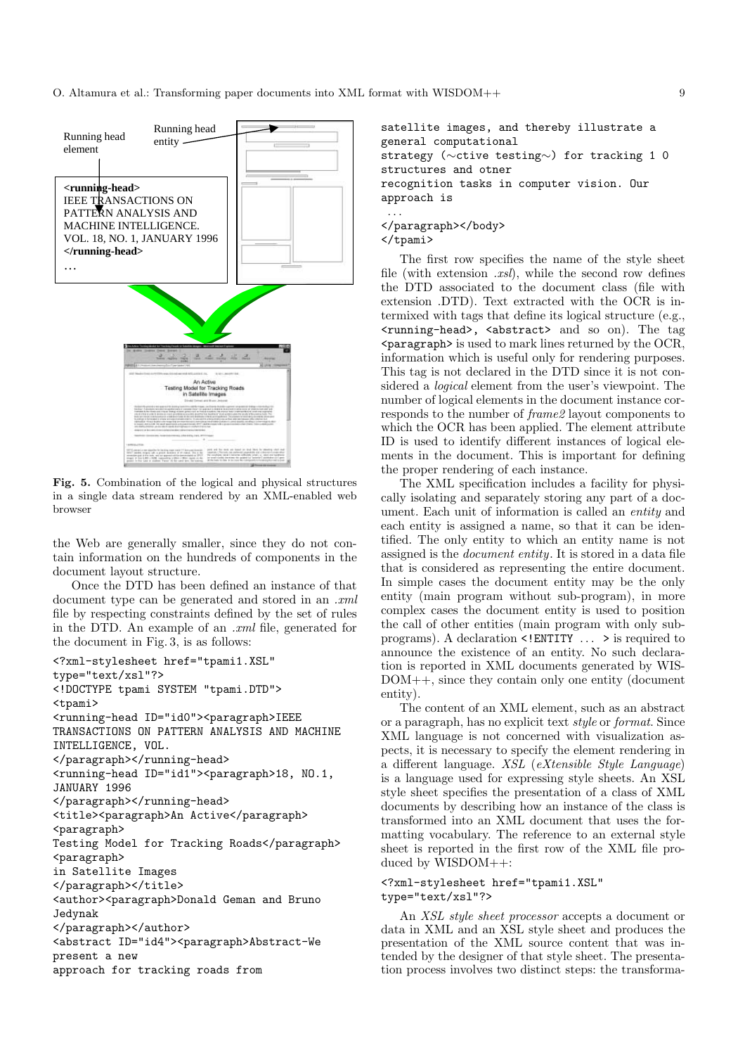

**Fig. 5.** Combination of the logical and physical structures in a single data stream rendered by an XML-enabled web browser

the Web are generally smaller, since they do not contain information on the hundreds of components in the document layout structure.

Once the DTD has been defined an instance of that document type can be generated and stored in an  $\mu$ file by respecting constraints defined by the set of rules in the DTD. An example of an .xml file, generated for the document in Fig. 3, is as follows:

```
<?xml-stylesheet href="tpami1.XSL"
type="text/xsl"?>
<!DOCTYPE tpami SYSTEM "tpami.DTD">
<tpami>
<running-head ID="id0"><paragraph>IEEE
TRANSACTIONS ON PATTERN ANALYSIS AND MACHINE
INTELLIGENCE, VOL.
</paragraph></running-head>
<running-head ID="id1"><paragraph>18, NO.1,
JANUARY 1996
</paragraph></running-head>
<title><paragraph>An Active</paragraph>
<paragraph>
Testing Model for Tracking Roads</paragraph>
<paragraph>
in Satellite Images
</paragraph></title>
<author><paragraph>Donald Geman and Bruno
Jedynak
</paragraph></author>
<abstract ID="id4"><paragraph>Abstract-We
present a new
approach for tracking roads from
```

```
satellite images, and thereby illustrate a
general computational
strategy (∼ctive testing∼) for tracking 1 0
structures and otner
recognition tasks in computer vision. Our
approach is
 ...
</paragraph></body>
```
</tpami>

The first row specifies the name of the style sheet file (with extension  $.xsl$ ), while the second row defines the DTD associated to the document class (file with extension .DTD). Text extracted with the OCR is intermixed with tags that define its logical structure (e.g., <running-head>, <abstract> and so on). The tag  $\epsilon$  paragraph is used to mark lines returned by the OCR, information which is useful only for rendering purposes. This tag is not declared in the DTD since it is not considered a logical element from the user's viewpoint. The number of logical elements in the document instance corresponds to the number of frame2 layout components to which the OCR has been applied. The element attribute ID is used to identify different instances of logical elements in the document. This is important for defining the proper rendering of each instance.

The XML specification includes a facility for physically isolating and separately storing any part of a document. Each unit of information is called an entity and each entity is assigned a name, so that it can be identified. The only entity to which an entity name is not assigned is the document entity. It is stored in a data file that is considered as representing the entire document. In simple cases the document entity may be the only entity (main program without sub-program), in more complex cases the document entity is used to position the call of other entities (main program with only subprograms). A declaration <!ENTITY ... > is required to announce the existence of an entity. No such declaration is reported in XML documents generated by WIS-DOM++, since they contain only one entity (document entity).

The content of an XML element, such as an abstract or a paragraph, has no explicit text style or format. Since XML language is not concerned with visualization aspects, it is necessary to specify the element rendering in a different language. XSL (eXtensible Style Language) is a language used for expressing style sheets. An XSL style sheet specifies the presentation of a class of XML documents by describing how an instance of the class is transformed into an XML document that uses the formatting vocabulary. The reference to an external style sheet is reported in the first row of the XML file produced by WISDOM++:

## <?xml-stylesheet href="tpami1.XSL" type="text/xsl"?>

An XSL style sheet processor accepts a document or data in XML and an XSL style sheet and produces the presentation of the XML source content that was intended by the designer of that style sheet. The presentation process involves two distinct steps: the transforma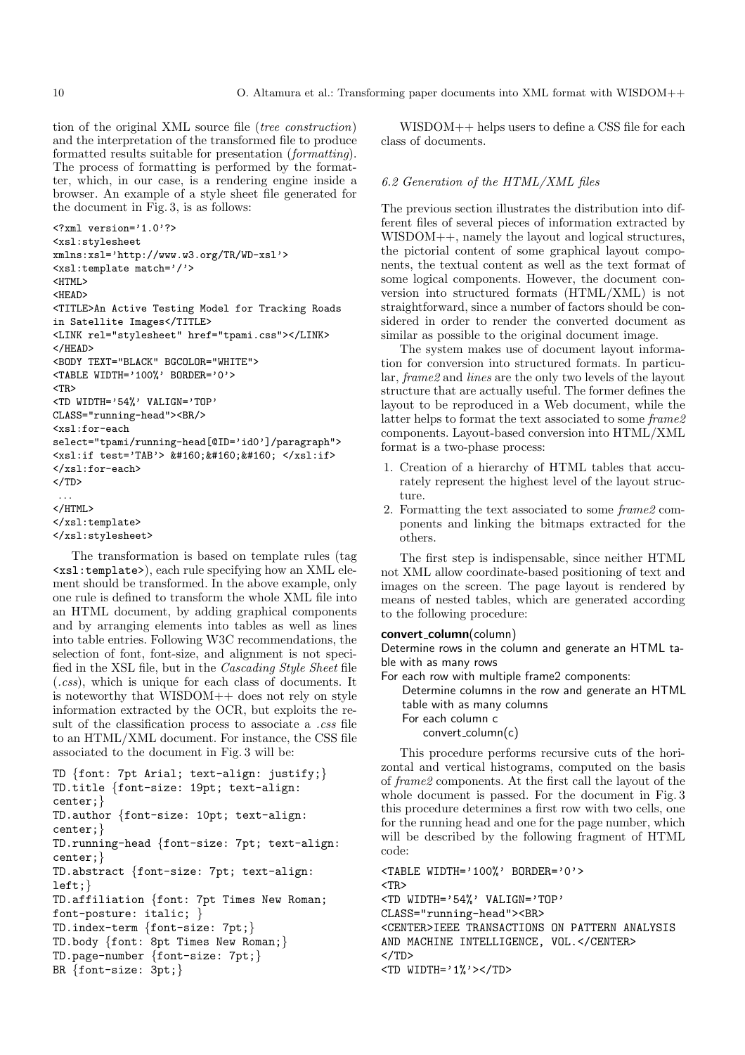tion of the original XML source file (tree construction) and the interpretation of the transformed file to produce formatted results suitable for presentation (formatting). The process of formatting is performed by the formatter, which, in our case, is a rendering engine inside a browser. An example of a style sheet file generated for the document in Fig. 3, is as follows:

```
<?xml version='1.0'?>
<xsl:stylesheet
xmlns:xsl='http://www.w3.org/TR/WD-xsl'>
<xsl:template match='/'>
<HTML>
<HEAD>
<TITLE>An Active Testing Model for Tracking Roads
in Satellite Images</TITLE>
<LINK rel="stylesheet" href="tpami.css"></LINK>
</HEAD>
<BODY TEXT="BLACK" BGCOLOR="WHITE">
<TABLE WIDTH='100%' BORDER='0'>
<TR>
<TD WIDTH='54%' VALIGN='TOP'
CLASS="running-head"><BR/>
<xsl:for-each
select="tpami/running-head[@ID='id0']/paragraph">
\langle xsl: \text{if } \text{test='Tab'} \rangle \ \&\#160;\&\#160;\&\#160;\; \langle xsl: \text{if } \rangle</xsl:for-each>
</TD>...
</HTML>
</xsl:template>
</xsl:stylesheet>
```
The transformation is based on template rules (tag <xsl:template>), each rule specifying how an XML element should be transformed. In the above example, only one rule is defined to transform the whole XML file into an HTML document, by adding graphical components and by arranging elements into tables as well as lines into table entries. Following W3C recommendations, the selection of font, font-size, and alignment is not specified in the XSL file, but in the Cascading Style Sheet file (.css), which is unique for each class of documents. It is noteworthy that WISDOM++ does not rely on style information extracted by the OCR, but exploits the result of the classification process to associate a .css file to an HTML/XML document. For instance, the CSS file associated to the document in Fig. 3 will be:

```
TD {font: 7pt Arial; text-align: justify;}
TD.title {font-size: 19pt; text-align:
center;}
TD.author {font-size: 10pt; text-align:
center;}
TD.running-head {font-size: 7pt; text-align:
center;}
TD.abstract {font-size: 7pt; text-align:
left;}
TD.affiliation {font: 7pt Times New Roman;
font-posture: italic; }
TD.index-term {font-size: 7pt;}
TD.body {font: 8pt Times New Roman;}
TD.page-number {font-size: 7pt;}
BR {font-size: 3pt;}
```
WISDOM++ helps users to define a CSS file for each class of documents.

# 6.2 Generation of the HTML/XML files

The previous section illustrates the distribution into different files of several pieces of information extracted by WISDOM++, namely the layout and logical structures, the pictorial content of some graphical layout components, the textual content as well as the text format of some logical components. However, the document conversion into structured formats (HTML/XML) is not straightforward, since a number of factors should be considered in order to render the converted document as similar as possible to the original document image.

The system makes use of document layout information for conversion into structured formats. In particular, frame2 and lines are the only two levels of the layout structure that are actually useful. The former defines the layout to be reproduced in a Web document, while the latter helps to format the text associated to some frame2 components. Layout-based conversion into HTML/XML format is a two-phase process:

- 1. Creation of a hierarchy of HTML tables that accurately represent the highest level of the layout structure.
- 2. Formatting the text associated to some frame2 components and linking the bitmaps extracted for the others.

The first step is indispensable, since neither HTML not XML allow coordinate-based positioning of text and images on the screen. The page layout is rendered by means of nested tables, which are generated according to the following procedure:

## **convert column**(column)

Determine rows in the column and generate an HTML table with as many rows

For each row with multiple frame2 components:

Determine columns in the row and generate an HTML table with as many columns For each column c convert\_column(c)

This procedure performs recursive cuts of the horizontal and vertical histograms, computed on the basis of frame2 components. At the first call the layout of the whole document is passed. For the document in Fig. 3 this procedure determines a first row with two cells, one for the running head and one for the page number, which will be described by the following fragment of HTML code:

```
<TABLE WIDTH='100%' BORDER='0'>
<TR>
<TD WIDTH='54%' VALIGN='TOP'
CLASS="running-head"><BR>
<CENTER>IEEE TRANSACTIONS ON PATTERN ANALYSIS
AND MACHINE INTELLIGENCE, VOL.</CENTER>
</TD>
<TD WIDTH='1%'></TD>
```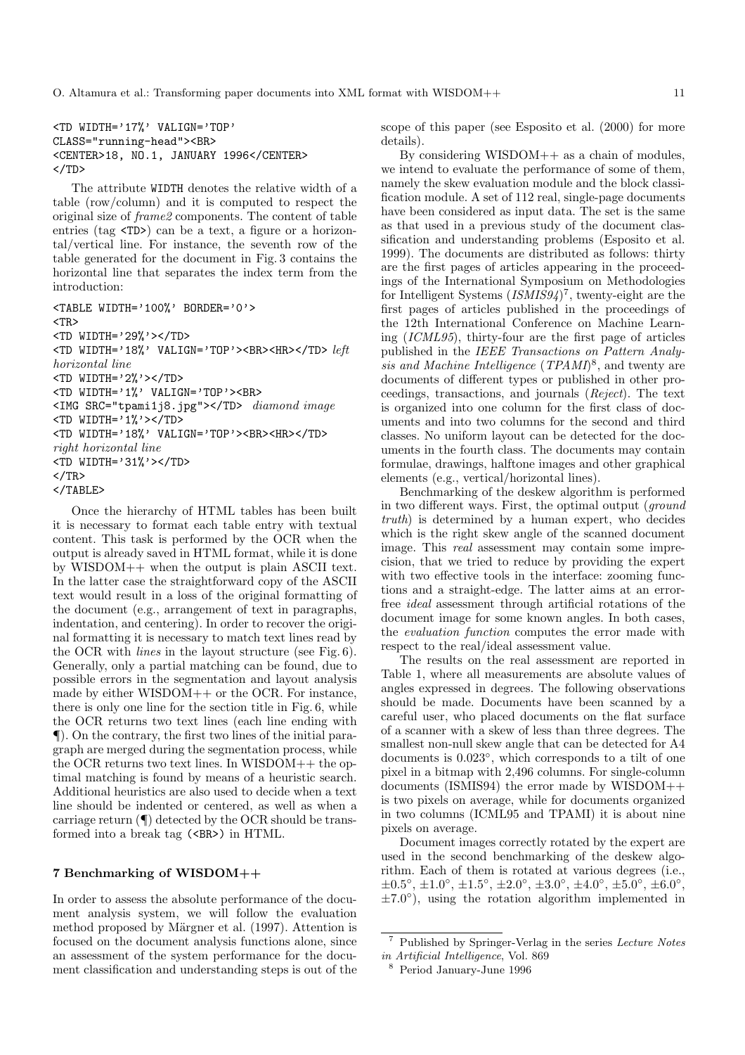```
<TD WIDTH='17%' VALIGN='TOP'
CLASS="running-head"><BR>
<CENTER>18, NO.1, JANUARY 1996</CENTER>
</TD>
```
The attribute WIDTH denotes the relative width of a table (row/column) and it is computed to respect the original size of frame2 components. The content of table entries (tag <TD>) can be a text, a figure or a horizontal/vertical line. For instance, the seventh row of the table generated for the document in Fig. 3 contains the horizontal line that separates the index term from the introduction:

```
<TABLE WIDTH='100%' BORDER='0'>
<TR>
<TD WIDTH='29%'></TD>
<TD WIDTH='18%' VALIGN='TOP'><BR><HR></TD> left
horizontal line
<TD WIDTH='2%'></TD>
<TD WIDTH='1%' VALIGN='TOP'><BR>
<IMG SRC="tpami1j8.jpg"></TD> diamond image
<TD WIDTH='1%'></TD>
<TD WIDTH='18%' VALIGN='TOP'><BR><HR></TD>
right horizontal line
<TD WIDTH='31%'></TD>
</TR></TABLE>
```
Once the hierarchy of HTML tables has been built it is necessary to format each table entry with textual content. This task is performed by the OCR when the output is already saved in HTML format, while it is done by WISDOM++ when the output is plain ASCII text. In the latter case the straightforward copy of the ASCII text would result in a loss of the original formatting of the document (e.g., arrangement of text in paragraphs, indentation, and centering). In order to recover the original formatting it is necessary to match text lines read by the OCR with lines in the layout structure (see Fig. 6). Generally, only a partial matching can be found, due to possible errors in the segmentation and layout analysis made by either WISDOM++ or the OCR. For instance, there is only one line for the section title in Fig. 6, while the OCR returns two text lines (each line ending with ¶). On the contrary, the first two lines of the initial paragraph are merged during the segmentation process, while the OCR returns two text lines. In WISDOM++ the optimal matching is found by means of a heuristic search. Additional heuristics are also used to decide when a text line should be indented or centered, as well as when a carriage return (¶) detected by the OCR should be transformed into a break tag (<BR>) in HTML.

# **7 Benchmarking of WISDOM++**

In order to assess the absolute performance of the document analysis system, we will follow the evaluation method proposed by Märgner et al. (1997). Attention is focused on the document analysis functions alone, since an assessment of the system performance for the document classification and understanding steps is out of the scope of this paper (see Esposito et al. (2000) for more details).

By considering  $WISDOM++$  as a chain of modules, we intend to evaluate the performance of some of them, namely the skew evaluation module and the block classification module. A set of 112 real, single-page documents have been considered as input data. The set is the same as that used in a previous study of the document classification and understanding problems (Esposito et al. 1999). The documents are distributed as follows: thirty are the first pages of articles appearing in the proceedings of the International Symposium on Methodologies for Intelligent Systems  $(ISMIS94)^7$ , twenty-eight are the first pages of articles published in the proceedings of the 12th International Conference on Machine Learning (ICML95), thirty-four are the first page of articles published in the IEEE Transactions on Pattern Analysis and Machine Intelligence (TPAMI)<sup>8</sup>, and twenty are documents of different types or published in other proceedings, transactions, and journals (Reject). The text is organized into one column for the first class of documents and into two columns for the second and third classes. No uniform layout can be detected for the documents in the fourth class. The documents may contain formulae, drawings, halftone images and other graphical elements (e.g., vertical/horizontal lines).

Benchmarking of the deskew algorithm is performed in two different ways. First, the optimal output (ground truth) is determined by a human expert, who decides which is the right skew angle of the scanned document image. This *real* assessment may contain some imprecision, that we tried to reduce by providing the expert with two effective tools in the interface: zooming functions and a straight-edge. The latter aims at an errorfree ideal assessment through artificial rotations of the document image for some known angles. In both cases, the evaluation function computes the error made with respect to the real/ideal assessment value.

The results on the real assessment are reported in Table 1, where all measurements are absolute values of angles expressed in degrees. The following observations should be made. Documents have been scanned by a careful user, who placed documents on the flat surface of a scanner with a skew of less than three degrees. The smallest non-null skew angle that can be detected for A4 documents is 0.023◦, which corresponds to a tilt of one pixel in a bitmap with 2,496 columns. For single-column documents (ISMIS94) the error made by WISDOM++ is two pixels on average, while for documents organized in two columns (ICML95 and TPAMI) it is about nine pixels on average.

Document images correctly rotated by the expert are used in the second benchmarking of the deskew algorithm. Each of them is rotated at various degrees (i.e.,  $\pm 0.5^{\circ}, \pm 1.0^{\circ}, \pm 1.5^{\circ}, \pm 2.0^{\circ}, \pm 3.0^{\circ}, \pm 4.0^{\circ}, \pm 5.0^{\circ}, \pm 6.0^{\circ},$  $\pm 7.0^{\circ}$ , using the rotation algorithm implemented in

<sup>7</sup> Published by Springer-Verlag in the series Lecture Notes in Artificial Intelligence, Vol. 869

<sup>8</sup> Period January-June 1996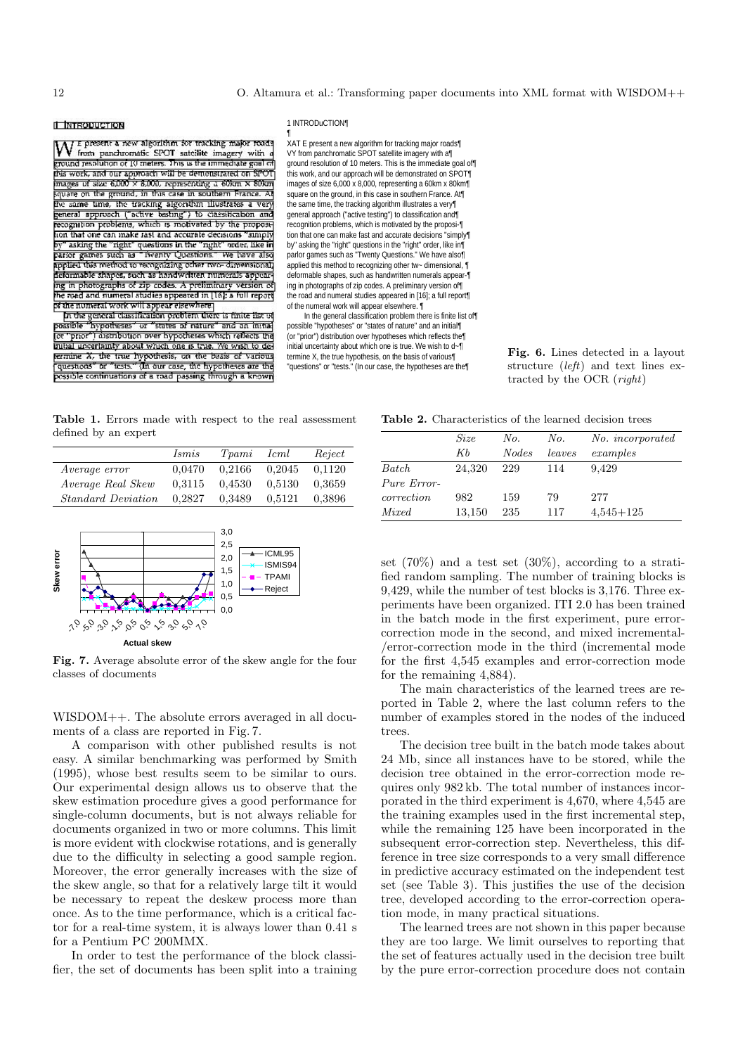## **IL INTRODUCTION**

E present a new algorithm for tracking major roads V from panchromatic SPOT satellite imagery with a ground resolution of 10 meters. This is the immediate goal of this work, and our approach will be demonstrated on SPOT mages of size 6,000 x 8,000, representing a 60km x 80km square on the ground, in this case in southern France. A the same time, the tracking algorithm illustrates a very general approach ("active testing") to classification and<br>recognition problems, which is motivated by the proposinon that one can make rast and accurate decisions "aimply by" asking the "right" questions in the "right" order, like in<br>parior games such as "Twenty Questions." We have also applied this method to recognizing other two-dimensional ing in photographs of zip codes. A preliminary version of the road and numeral studies appeared in [16]; a full report of the numeral work will appear elsewhere

In the general classification problem there is finite list of possible "hypotheses" or "states of nature" and an in that for "prior") distribution over hypotheses which reflects the mibal uncertainty about which one is true. We wish to determine X, the true hypothesis, on the basis of various "questions" or "tests." (In our case, the hypotheses are the possible continuations of a road passing through a known

#### 1 INTRODuCTION¶

¶ XAT E present a new algorithm for tracking major roads¶ VY from panchromatic SPOT satellite imagery with a¶ ground resolution of 10 meters. This is the immediate goal of¶ this work, and our approach will be demonstrated on SPOT¶ images of size 6,000 x 8,000, representing a 60km x 80km¶ square on the ground, in this case in southern France. At the same time, the tracking algorithm illustrates a very¶ general approach ("active testing") to classification and¶ recognition problems, which is motivated by the proposi-¶ tion that one can make fast and accurate decisions "simply¶ by" asking the "right" questions in the "right" order, like in¶ parlor games such as "Twenty Questions." We have also¶ applied this method to recognizing other tw~ dimensional,  $\P$ deformable shapes, such as handwritten numerals appear-¶ ing in photographs of zip codes. A preliminary version of¶ the road and numeral studies appeared in [16]; a full report¶ of the numeral work will appear elsewhere. ¶

In the general classification problem there is finite list of¶ possible "hypotheses" or "states of nature" and an initial¶ (or "prior") distribution over hypotheses which reflects the¶ initial uncertainty about which one is true. We wish to d~¶ termine X, the true hypothesis, on the basis of various¶ "questions" or "tests." (In our case, the hypotheses are the¶

**Fig. 6.** Lines detected in a layout structure (left) and text lines extracted by the OCR (right)

**Table 1.** Errors made with respect to the real assessment defined by an expert

|                           | Ismis  | Tpami  | Icml   | Reject |
|---------------------------|--------|--------|--------|--------|
| Average error             | 0.0470 | 0.2166 | 0.2045 | 0.1120 |
| Average Real Skew         | 0.3115 | 0.4530 | 0.5130 | 0.3659 |
| <i>Standard Deviation</i> | 0.2827 | 0.3489 | 0.5121 | 0.3896 |



**Fig. 7.** Average absolute error of the skew angle for the four classes of documents

WISDOM++. The absolute errors averaged in all documents of a class are reported in Fig. 7.

A comparison with other published results is not easy. A similar benchmarking was performed by Smith (1995), whose best results seem to be similar to ours. Our experimental design allows us to observe that the skew estimation procedure gives a good performance for single-column documents, but is not always reliable for documents organized in two or more columns. This limit is more evident with clockwise rotations, and is generally due to the difficulty in selecting a good sample region. Moreover, the error generally increases with the size of the skew angle, so that for a relatively large tilt it would be necessary to repeat the deskew process more than once. As to the time performance, which is a critical factor for a real-time system, it is always lower than 0.41 s for a Pentium PC 200MMX.

In order to test the performance of the block classifier, the set of documents has been split into a training

**Table 2.** Characteristics of the learned decision trees

|             | <i>Size</i> | No.          | No.    | No. <i>incorporated</i> |
|-------------|-------------|--------------|--------|-------------------------|
|             | KЬ          | <i>Nodes</i> | leaves | examples                |
| Batch       | 24,320      | 229          | 114    | 9.429                   |
| Pure Error- |             |              |        |                         |
| correction  | 982         | 159          | 79     | 277                     |
| Mixed       | 13,150      | 235          | 117    | $4,545+125$             |

set  $(70\%)$  and a test set  $(30\%)$ , according to a stratified random sampling. The number of training blocks is 9,429, while the number of test blocks is 3,176. Three experiments have been organized. ITI 2.0 has been trained in the batch mode in the first experiment, pure errorcorrection mode in the second, and mixed incremental- /error-correction mode in the third (incremental mode for the first 4,545 examples and error-correction mode for the remaining 4,884).

The main characteristics of the learned trees are reported in Table 2, where the last column refers to the number of examples stored in the nodes of the induced trees.

The decision tree built in the batch mode takes about 24 Mb, since all instances have to be stored, while the decision tree obtained in the error-correction mode requires only 982 kb. The total number of instances incorporated in the third experiment is 4,670, where 4,545 are the training examples used in the first incremental step, while the remaining 125 have been incorporated in the subsequent error-correction step. Nevertheless, this difference in tree size corresponds to a very small difference in predictive accuracy estimated on the independent test set (see Table 3). This justifies the use of the decision tree, developed according to the error-correction operation mode, in many practical situations.

The learned trees are not shown in this paper because they are too large. We limit ourselves to reporting that the set of features actually used in the decision tree built by the pure error-correction procedure does not contain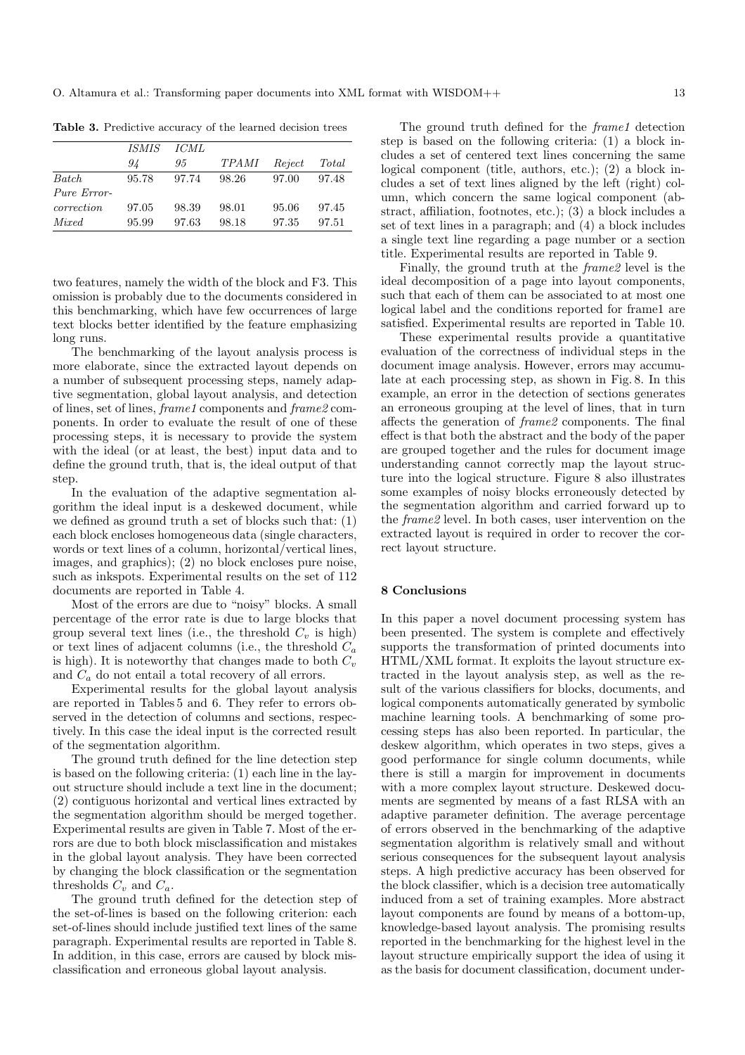**Table 3.** Predictive accuracy of the learned decision trees

|             | <i>ISMIS</i> | <i>ICML</i> |       |        |       |
|-------------|--------------|-------------|-------|--------|-------|
|             | 94           | 95          | TPAMI | Reject | Total |
| Batch       | 95.78        | 97.74       | 98.26 | 97.00  | 97.48 |
| Pure Error- |              |             |       |        |       |
| correction  | 97.05        | 98.39       | 98.01 | 95.06  | 97.45 |
| Mixed       | 95.99        | 97.63       | 98.18 | 97.35  | 97.51 |

two features, namely the width of the block and F3. This omission is probably due to the documents considered in this benchmarking, which have few occurrences of large text blocks better identified by the feature emphasizing long runs.

The benchmarking of the layout analysis process is more elaborate, since the extracted layout depends on a number of subsequent processing steps, namely adaptive segmentation, global layout analysis, and detection of lines, set of lines, frame1 components and frame2 components. In order to evaluate the result of one of these processing steps, it is necessary to provide the system with the ideal (or at least, the best) input data and to define the ground truth, that is, the ideal output of that step.

In the evaluation of the adaptive segmentation algorithm the ideal input is a deskewed document, while we defined as ground truth a set of blocks such that: (1) each block encloses homogeneous data (single characters, words or text lines of a column, horizontal/vertical lines, images, and graphics); (2) no block encloses pure noise, such as inkspots. Experimental results on the set of 112 documents are reported in Table 4.

Most of the errors are due to "noisy" blocks. A small percentage of the error rate is due to large blocks that group several text lines (i.e., the threshold  $C_v$  is high) or text lines of adjacent columns (i.e., the threshold  $C_a$ is high). It is noteworthy that changes made to both  $C_v$ and  $C_a$  do not entail a total recovery of all errors.

Experimental results for the global layout analysis are reported in Tables 5 and 6. They refer to errors observed in the detection of columns and sections, respectively. In this case the ideal input is the corrected result of the segmentation algorithm.

The ground truth defined for the line detection step is based on the following criteria: (1) each line in the layout structure should include a text line in the document; (2) contiguous horizontal and vertical lines extracted by the segmentation algorithm should be merged together. Experimental results are given in Table 7. Most of the errors are due to both block misclassification and mistakes in the global layout analysis. They have been corrected by changing the block classification or the segmentation thresholds  $C_v$  and  $C_a$ .

The ground truth defined for the detection step of the set-of-lines is based on the following criterion: each set-of-lines should include justified text lines of the same paragraph. Experimental results are reported in Table 8. In addition, in this case, errors are caused by block misclassification and erroneous global layout analysis.

The ground truth defined for the *frame1* detection step is based on the following criteria: (1) a block includes a set of centered text lines concerning the same logical component (title, authors, etc.); (2) a block includes a set of text lines aligned by the left (right) column, which concern the same logical component (abstract, affiliation, footnotes, etc.); (3) a block includes a set of text lines in a paragraph; and (4) a block includes a single text line regarding a page number or a section title. Experimental results are reported in Table 9.

Finally, the ground truth at the frame2 level is the ideal decomposition of a page into layout components, such that each of them can be associated to at most one logical label and the conditions reported for frame1 are satisfied. Experimental results are reported in Table 10.

These experimental results provide a quantitative evaluation of the correctness of individual steps in the document image analysis. However, errors may accumulate at each processing step, as shown in Fig. 8. In this example, an error in the detection of sections generates an erroneous grouping at the level of lines, that in turn affects the generation of frame2 components. The final effect is that both the abstract and the body of the paper are grouped together and the rules for document image understanding cannot correctly map the layout structure into the logical structure. Figure 8 also illustrates some examples of noisy blocks erroneously detected by the segmentation algorithm and carried forward up to the frame2 level. In both cases, user intervention on the extracted layout is required in order to recover the correct layout structure.

# **8 Conclusions**

In this paper a novel document processing system has been presented. The system is complete and effectively supports the transformation of printed documents into HTML/XML format. It exploits the layout structure extracted in the layout analysis step, as well as the result of the various classifiers for blocks, documents, and logical components automatically generated by symbolic machine learning tools. A benchmarking of some processing steps has also been reported. In particular, the deskew algorithm, which operates in two steps, gives a good performance for single column documents, while there is still a margin for improvement in documents with a more complex layout structure. Deskewed documents are segmented by means of a fast RLSA with an adaptive parameter definition. The average percentage of errors observed in the benchmarking of the adaptive segmentation algorithm is relatively small and without serious consequences for the subsequent layout analysis steps. A high predictive accuracy has been observed for the block classifier, which is a decision tree automatically induced from a set of training examples. More abstract layout components are found by means of a bottom-up, knowledge-based layout analysis. The promising results reported in the benchmarking for the highest level in the layout structure empirically support the idea of using it as the basis for document classification, document under-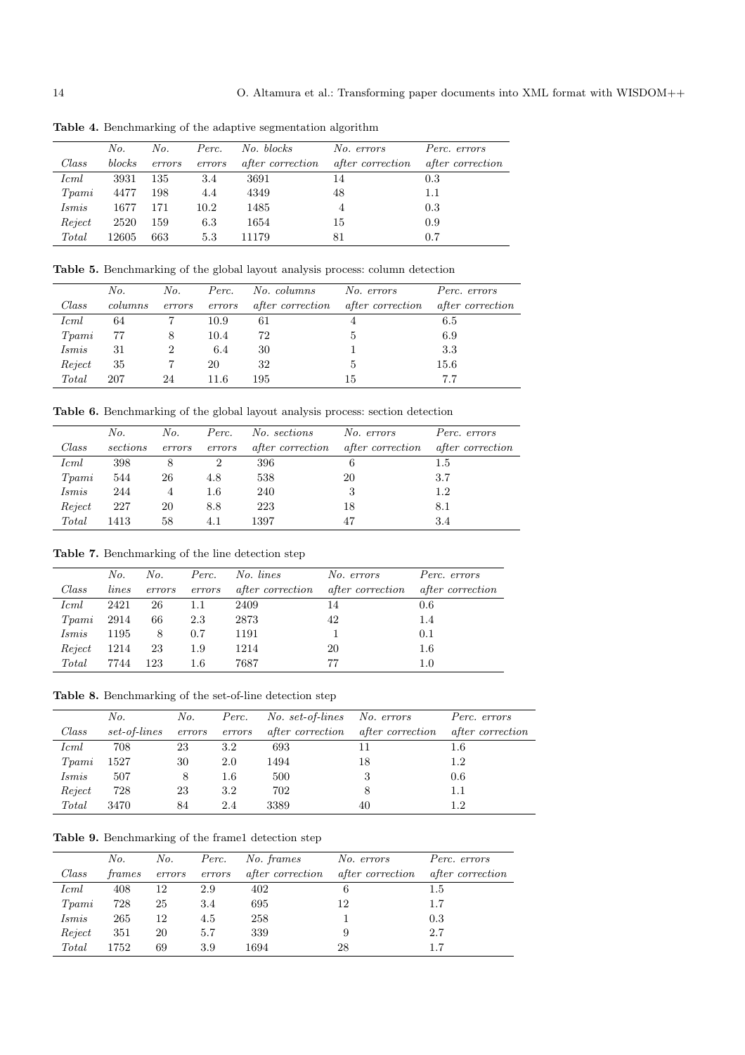|        | No.    | No.    | Perc.  | No. blocks              | No. errors              | Perc. errors            |
|--------|--------|--------|--------|-------------------------|-------------------------|-------------------------|
| Class  | blocks | errors | errors | <i>after correction</i> | <i>after correction</i> | <i>after correction</i> |
| Icml   | 3931   | 135    | 3.4    | 3691                    | 14                      | 0.3                     |
| Tpami  | 4477   | 198    | 4.4    | 4349                    | 48                      | 1.1                     |
| Ismis  | 1677   | 171    | 10.2   | 1485                    | 4                       | 0.3                     |
| Reject | 2520   | 159    | 6.3    | 1654                    | 15                      | 0.9                     |
| Total  | 12605  | 663    | 5.3    | 11179                   | 81                      | 0.7                     |

**Table 4.** Benchmarking of the adaptive segmentation algorithm

Table 5. Benchmarking of the global layout analysis process: column detection

|        | No.     | No.    | Perc.  | No. columns             | No. errors              | Perc. errors            |
|--------|---------|--------|--------|-------------------------|-------------------------|-------------------------|
| Class  | columns | errors | errors | <i>after correction</i> | <i>after correction</i> | <i>after correction</i> |
| Icml   | 64      |        | 10.9   | 61                      | 4                       | 6.5                     |
| Tpani  | 77      | 8      | 10.4   | 72                      | 5                       | 6.9                     |
| Ismis  | 31      |        | 6.4    | 30                      |                         | 3.3                     |
| Reject | 35      |        | 20     | 32                      | 5                       | 15.6                    |
| Total  | 207     | 24     | 11.6   | 195                     | 15                      | 7.7                     |

Table 6. Benchmarking of the global layout analysis process: section detection

|                   | No.      | No.    | Perc.   | No. sections            | No. errors              | Perc. errors            |
|-------------------|----------|--------|---------|-------------------------|-------------------------|-------------------------|
| Class             | sections | errors | errors  | <i>after correction</i> | <i>after correction</i> | <i>after correction</i> |
| Icml              | 398      | 8      | 2       | 396                     | 6                       | 1.5                     |
| T <sub>pani</sub> | 544      | 26     | 4.8     | 538                     | 20                      | 3.7                     |
| Ismis             | 244      | 4      | $1.6\,$ | 240                     | 3                       | 1.2                     |
| Reject            | 227      | 20     | 8.8     | 223                     | 18                      | 8.1                     |
| Total             | 1413     | 58     | 4.1     | 1397                    | 47                      | 3.4                     |

Table 7. Benchmarking of the line detection step

|             | No.   | No.    | Perc.   | No. lines               | No. errors              | Perc. errors            |
|-------------|-------|--------|---------|-------------------------|-------------------------|-------------------------|
| Class       | lines | errors | errors  | <i>after correction</i> | <i>after correction</i> | <i>after correction</i> |
| <i>Icml</i> | 2421  | 26     | 1.1     | 2409                    | 14                      | 0.6                     |
| Tpami       | 2914  | 66     | 2.3     | 2873                    | 42                      | 1.4                     |
| Ismis       | 1195  | 8      | 0.7     | 1191                    |                         | 0.1                     |
| Reject      | 1214  | 23     | 1.9     | 1214                    | 20                      | $1.6\,$                 |
| Total       | 7744  | 123    | $1.6\,$ | 7687                    | 77                      | $1.0\,$                 |

Table 8. Benchmarking of the set-of-line detection step

|        | No.          | No.    | Perc.   | No. set-of-lines        | No. errors              | Perc. errors            |
|--------|--------------|--------|---------|-------------------------|-------------------------|-------------------------|
| Class  | set-of-lines | errors | errors  | <i>after correction</i> | <i>after correction</i> | <i>after correction</i> |
| Icml   | 708          | 23     | 3.2     | 693                     | 11                      | $1.6\,$                 |
| Tpami  | 1527         | 30     | 2.0     | 1494                    | 18                      | 1.2                     |
| Ismis  | 507          | 8      | $1.6\,$ | 500                     | 3                       | 0.6                     |
| Reject | 728          | 23     | 3.2     | 702                     |                         | 1.1                     |
| Total  | 3470         | 84     | 2.4     | 3389                    | 40                      | 12                      |

Table 9. Benchmarking of the frame1 detection step

|        | No.    | No.    | Perc.  | No. frames              | No. errors              | Perc. errors            |
|--------|--------|--------|--------|-------------------------|-------------------------|-------------------------|
| Class  | frames | errors | errors | <i>after correction</i> | <i>after correction</i> | <i>after correction</i> |
| Icml   | 408    | 12     | 2.9    | 402                     | 6                       | 1.5                     |
| Tpami  | 728    | 25     | 3.4    | 695                     | 12                      | 1.7                     |
| Ismis  | 265    | 12     | 4.5    | 258                     |                         | 0.3                     |
| Reject | 351    | 20     | 5.7    | 339                     |                         | 2.7                     |
| Total  | 1752   | 69     | 3.9    | 1694                    | 28                      |                         |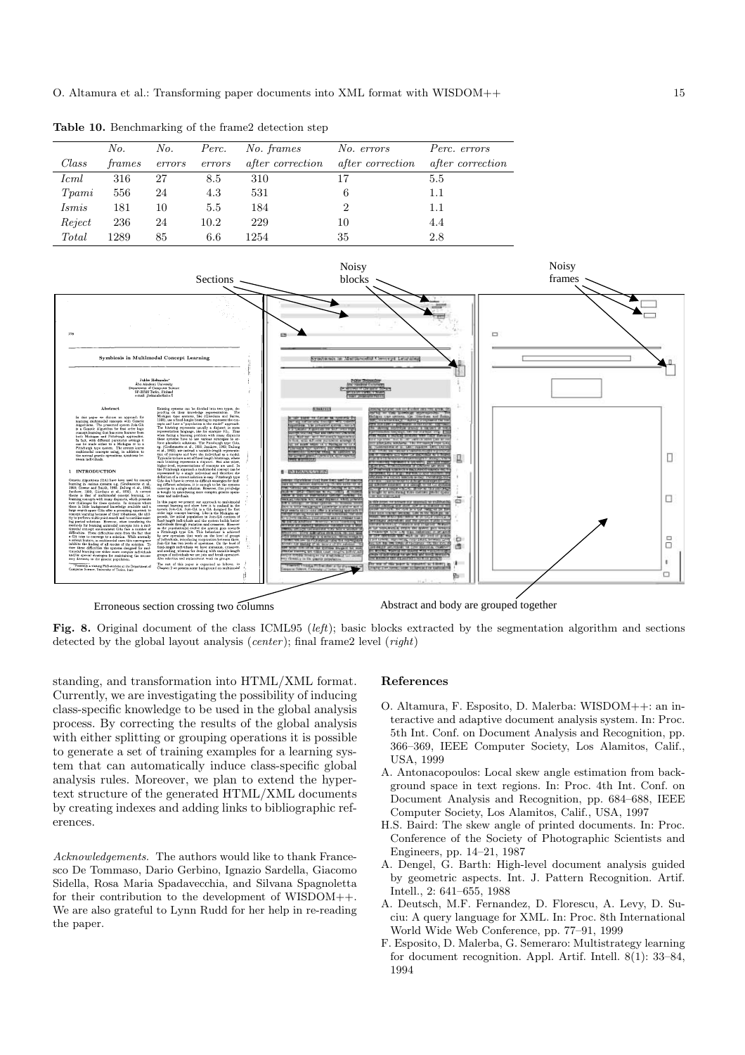**Table 10.** Benchmarking of the frame2 detection step

|        | No.    | No.    | Perc.  | No. frames              | No. errors              | Perc. errors            |
|--------|--------|--------|--------|-------------------------|-------------------------|-------------------------|
| Class  | frames | errors | errors | <i>after correction</i> | <i>after correction</i> | <i>after correction</i> |
| Icml   | 316    | 27     | 8.5    | 310                     | 17                      | 5.5                     |
| Tpami  | 556    | 24     | 4.3    | 531                     | 6                       | 1.1                     |
| Ismis  | 181    | 10     | 5.5    | 184                     | 2                       | 1.1                     |
| Reject | 236    | 24     | 10.2   | 229                     | 10                      | 4.4                     |
| Total  | 1289   | 85     | 6.6    | 1254                    | 35                      | 2.8                     |
|        |        |        |        |                         |                         |                         |



Erroneous section crossing two columns

Abstract and body are grouped together

**Fig. 8.** Original document of the class ICML95 (left); basic blocks extracted by the segmentation algorithm and sections detected by the global layout analysis (*center*); final frame2 level  $(right)$ 

standing, and transformation into HTML/XML format. Currently, we are investigating the possibility of inducing class-specific knowledge to be used in the global analysis process. By correcting the results of the global analysis with either splitting or grouping operations it is possible to generate a set of training examples for a learning system that can automatically induce class-specific global analysis rules. Moreover, we plan to extend the hypertext structure of the generated HTML/XML documents by creating indexes and adding links to bibliographic references.

Acknowledgements. The authors would like to thank Francesco De Tommaso, Dario Gerbino, Ignazio Sardella, Giacomo Sidella, Rosa Maria Spadavecchia, and Silvana Spagnoletta for their contribution to the development of WISDOM++. We are also grateful to Lynn Rudd for her help in re-reading the paper.

## **References**

- O. Altamura, F. Esposito, D. Malerba: WISDOM++: an interactive and adaptive document analysis system. In: Proc. 5th Int. Conf. on Document Analysis and Recognition, pp. 366–369, IEEE Computer Society, Los Alamitos, Calif., USA, 1999
- A. Antonacopoulos: Local skew angle estimation from background space in text regions. In: Proc. 4th Int. Conf. on Document Analysis and Recognition, pp. 684–688, IEEE Computer Society, Los Alamitos, Calif., USA, 1997
- H.S. Baird: The skew angle of printed documents. In: Proc. Conference of the Society of Photographic Scientists and Engineers, pp. 14–21, 1987
- A. Dengel, G. Barth: High-level document analysis guided by geometric aspects. Int. J. Pattern Recognition. Artif. Intell., 2: 641–655, 1988
- A. Deutsch, M.F. Fernandez, D. Florescu, A. Levy, D. Suciu: A query language for XML. In: Proc. 8th International World Wide Web Conference, pp. 77–91, 1999
- F. Esposito, D. Malerba, G. Semeraro: Multistrategy learning for document recognition. Appl. Artif. Intell. 8(1): 33–84, 1994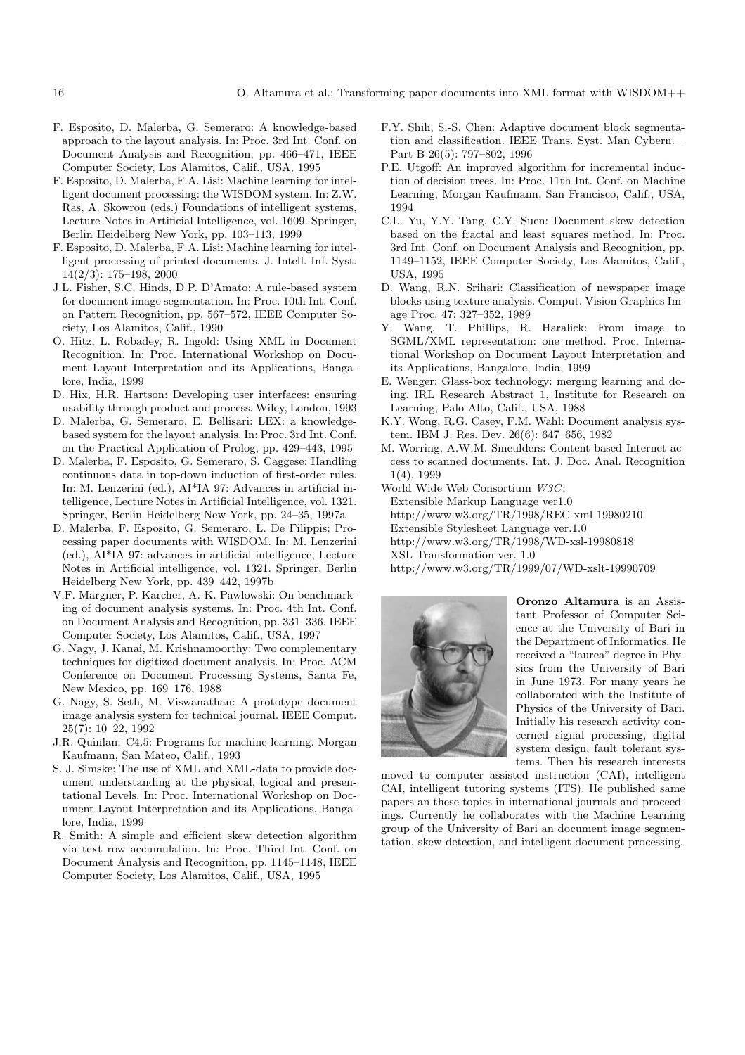- F. Esposito, D. Malerba, G. Semeraro: A knowledge-based approach to the layout analysis. In: Proc. 3rd Int. Conf. on Document Analysis and Recognition, pp. 466–471, IEEE Computer Society, Los Alamitos, Calif., USA, 1995
- F. Esposito, D. Malerba, F.A. Lisi: Machine learning for intelligent document processing: the WISDOM system. In: Z.W. Ras, A. Skowron (eds.) Foundations of intelligent systems, Lecture Notes in Artificial Intelligence, vol. 1609. Springer, Berlin Heidelberg New York, pp. 103-113, 1999
- F. Esposito, D. Malerba, F.A. Lisi: Machine learning for intelligent processing of printed documents. J. Intell. Inf. Syst. 14(2/3): 175–198, 2000
- J.L. Fisher, S.C. Hinds, D.P. D'Amato: A rule-based system for document image segmentation. In: Proc. 10th Int. Conf. on Pattern Recognition, pp. 567–572, IEEE Computer Society, Los Alamitos, Calif., 1990
- O. Hitz, L. Robadey, R. Ingold: Using XML in Document Recognition. In: Proc. International Workshop on Document Layout Interpretation and its Applications, Bangalore, India, 1999
- D. Hix, H.R. Hartson: Developing user interfaces: ensuring usability through product and process. Wiley, London, 1993
- D. Malerba, G. Semeraro, E. Bellisari: LEX: a knowledgebased system for the layout analysis. In: Proc. 3rd Int. Conf. on the Practical Application of Prolog, pp. 429–443, 1995
- D. Malerba, F. Esposito, G. Semeraro, S. Caggese: Handling continuous data in top-down induction of first-order rules. In: M. Lenzerini (ed.), AI\*IA 97: Advances in artificial intelligence, Lecture Notes in Artificial Intelligence, vol. 1321. Springer, Berlin Heidelberg New York, pp. 24–35, 1997a
- D. Malerba, F. Esposito, G. Semeraro, L. De Filippis: Processing paper documents with WISDOM. In: M. Lenzerini (ed.), AI\*IA 97: advances in artificial intelligence, Lecture Notes in Artificial intelligence, vol. 1321. Springer, Berlin Heidelberg New York, pp. 439-442, 1997b
- V.F. Märgner, P. Karcher, A.-K. Pawlowski: On benchmarking of document analysis systems. In: Proc. 4th Int. Conf. on Document Analysis and Recognition, pp. 331–336, IEEE Computer Society, Los Alamitos, Calif., USA, 1997
- G. Nagy, J. Kanai, M. Krishnamoorthy: Two complementary techniques for digitized document analysis. In: Proc. ACM Conference on Document Processing Systems, Santa Fe, New Mexico, pp. 169–176, 1988
- G. Nagy, S. Seth, M. Viswanathan: A prototype document image analysis system for technical journal. IEEE Comput. 25(7): 10–22, 1992
- J.R. Quinlan: C4.5: Programs for machine learning. Morgan Kaufmann, San Mateo, Calif., 1993
- S. J. Simske: The use of XML and XML-data to provide document understanding at the physical, logical and presentational Levels. In: Proc. International Workshop on Document Layout Interpretation and its Applications, Bangalore, India, 1999
- R. Smith: A simple and efficient skew detection algorithm via text row accumulation. In: Proc. Third Int. Conf. on Document Analysis and Recognition, pp. 1145–1148, IEEE Computer Society, Los Alamitos, Calif., USA, 1995
- F.Y. Shih, S.-S. Chen: Adaptive document block segmentation and classification. IEEE Trans. Syst. Man Cybern. – Part B 26(5): 797–802, 1996
- P.E. Utgoff: An improved algorithm for incremental induction of decision trees. In: Proc. 11th Int. Conf. on Machine Learning, Morgan Kaufmann, San Francisco, Calif., USA, 1994
- C.L. Yu, Y.Y. Tang, C.Y. Suen: Document skew detection based on the fractal and least squares method. In: Proc. 3rd Int. Conf. on Document Analysis and Recognition, pp. 1149–1152, IEEE Computer Society, Los Alamitos, Calif., USA, 1995
- D. Wang, R.N. Srihari: Classification of newspaper image blocks using texture analysis. Comput. Vision Graphics Image Proc. 47: 327–352, 1989
- Y. Wang, T. Phillips, R. Haralick: From image to SGML/XML representation: one method. Proc. International Workshop on Document Layout Interpretation and its Applications, Bangalore, India, 1999
- E. Wenger: Glass-box technology: merging learning and doing. IRL Research Abstract 1, Institute for Research on Learning, Palo Alto, Calif., USA, 1988
- K.Y. Wong, R.G. Casey, F.M. Wahl: Document analysis system. IBM J. Res. Dev. 26(6): 647–656, 1982
- M. Worring, A.W.M. Smeulders: Content-based Internet access to scanned documents. Int. J. Doc. Anal. Recognition 1(4), 1999
- World Wide Web Consortium W3C:
- Extensible Markup Language ver1.0
- http://www.w3.org/TR/1998/REC-xml-19980210
- Extensible Stylesheet Language ver.1.0
- http://www.w3.org/TR/1998/WD-xsl-19980818
- XSL Transformation ver. 1.0
- http://www.w3.org/TR/1999/07/WD-xslt-19990709



**Oronzo Altamura** is an Assistant Professor of Computer Science at the University of Bari in the Department of Informatics. He received a "laurea" degree in Physics from the University of Bari in June 1973. For many years he collaborated with the Institute of Physics of the University of Bari. Initially his research activity concerned signal processing, digital system design, fault tolerant systems. Then his research interests

moved to computer assisted instruction (CAI), intelligent CAI, intelligent tutoring systems (ITS). He published same papers an these topics in international journals and proceedings. Currently he collaborates with the Machine Learning group of the University of Bari an document image segmentation, skew detection, and intelligent document processing.